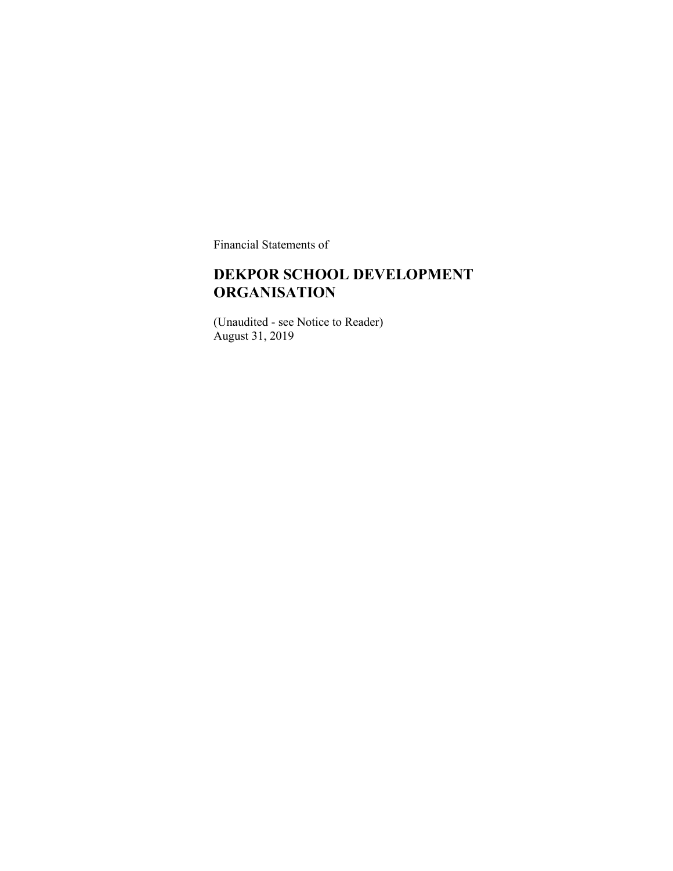Financial Statements of

### **DEKPOR SCHOOL DEVELOPMENT ORGANISATION**

(Unaudited - see Notice to Reader) August 31, 2019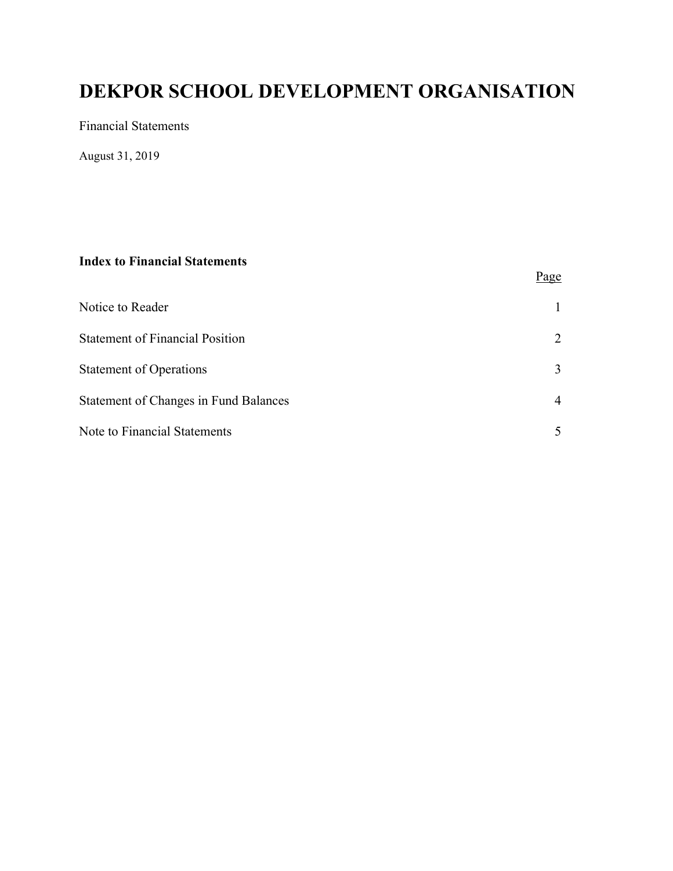Financial Statements

August 31, 2019

#### **Index to Financial Statements**

|                                              | Page |
|----------------------------------------------|------|
| Notice to Reader                             |      |
| <b>Statement of Financial Position</b>       | 2    |
| <b>Statement of Operations</b>               | 3    |
| <b>Statement of Changes in Fund Balances</b> | 4    |
| Note to Financial Statements                 |      |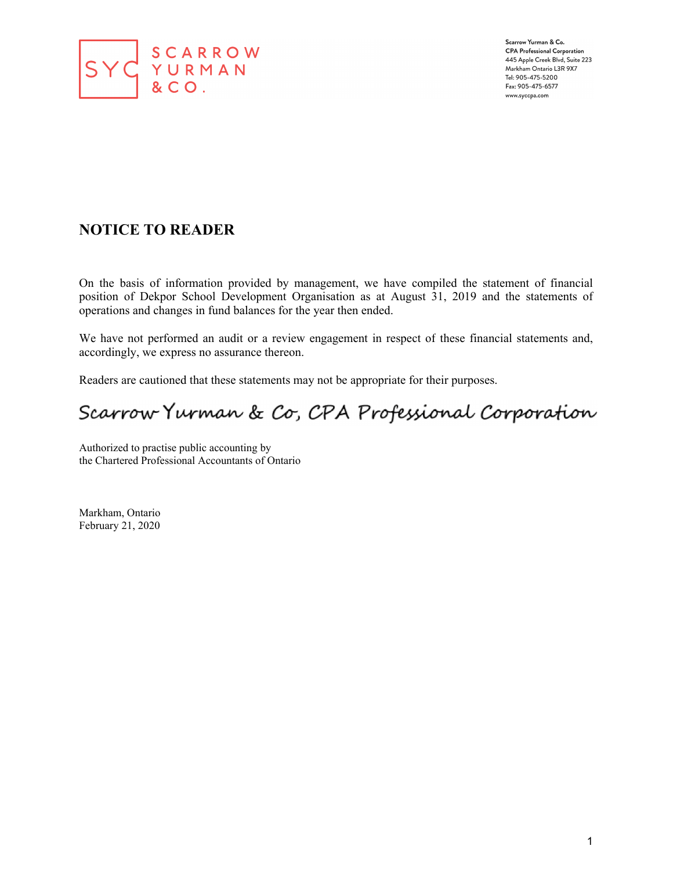

Scarrow Yurman & Co. **CPA Professional Corporation** 445 Apple Creek Blvd, Suite 223 Markham Ontario L3R 9X7 Tel: 905-475-5200 Fax: 905-475-6577 www.syccpa.com

### **NOTICE TO READER**

On the basis of information provided by management, we have compiled the statement of financial position of Dekpor School Development Organisation as at August 31, 2019 and the statements of operations and changes in fund balances for the year then ended.

We have not performed an audit or a review engagement in respect of these financial statements and, accordingly, we express no assurance thereon.

Readers are cautioned that these statements may not be appropriate for their purposes.

# Scarrow Yurman & Co, CPA Professional Corporation

Authorized to practise public accounting by the Chartered Professional Accountants of Ontario

Markham, Ontario February 21, 2020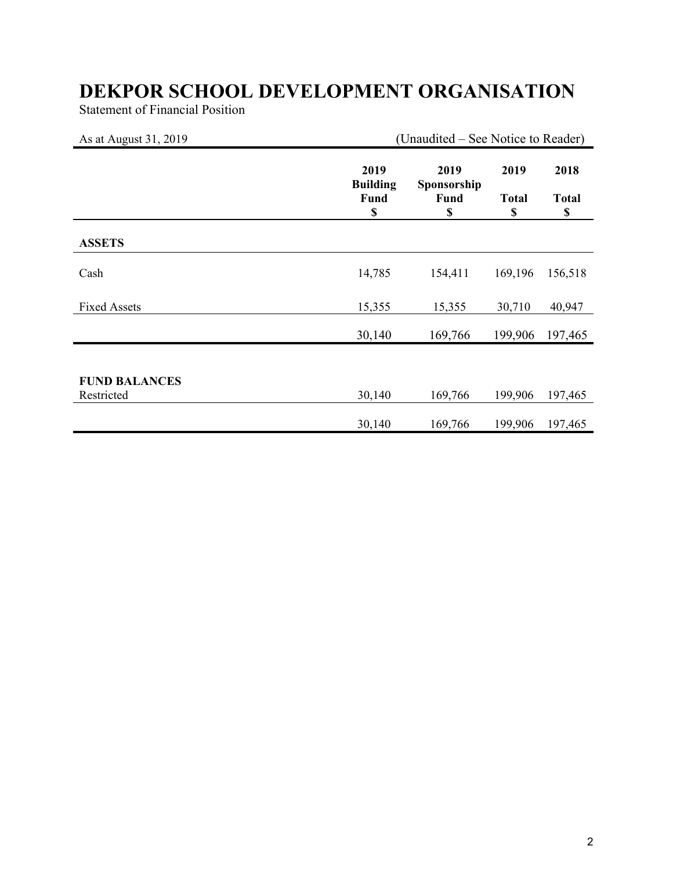Statement of Financial Position

| As at August 31, 2019 | (Unaudited – See Notice to Reader)    |                                   |                            |                            |
|-----------------------|---------------------------------------|-----------------------------------|----------------------------|----------------------------|
|                       | 2019<br><b>Building</b><br>Fund<br>\$ | 2019<br>Sponsorship<br>Fund<br>\$ | 2019<br><b>Total</b><br>\$ | 2018<br><b>Total</b><br>\$ |
| <b>ASSETS</b>         |                                       |                                   |                            |                            |
| Cash                  | 14,785                                | 154,411                           | 169,196                    | 156,518                    |
| <b>Fixed Assets</b>   | 15,355                                | 15,355                            | 30,710                     | 40,947                     |
|                       | 30,140                                | 169,766                           | 199,906                    | 197,465                    |
|                       |                                       |                                   |                            |                            |
| <b>FUND BALANCES</b>  |                                       |                                   |                            |                            |
| Restricted            | 30,140                                | 169,766                           | 199,906                    | 197,465                    |
|                       | 30,140                                | 169,766                           | 199,906                    | 197,465                    |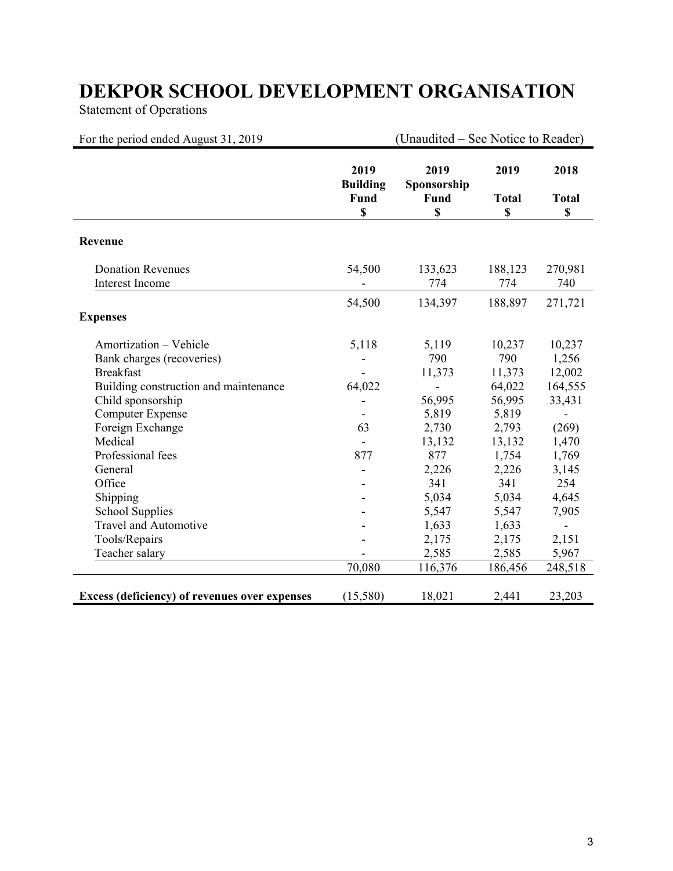Statement of Operations

| For the period ended August 31, 2019                                                                                                                                                                                                                                                                                                               |                                        | (Unaudited – See Notice to Reader)                                                                                                                |                                                                                                                                                          |                                                                                                                                                            |
|----------------------------------------------------------------------------------------------------------------------------------------------------------------------------------------------------------------------------------------------------------------------------------------------------------------------------------------------------|----------------------------------------|---------------------------------------------------------------------------------------------------------------------------------------------------|----------------------------------------------------------------------------------------------------------------------------------------------------------|------------------------------------------------------------------------------------------------------------------------------------------------------------|
|                                                                                                                                                                                                                                                                                                                                                    | 2019<br><b>Building</b><br>Fund<br>\$  | 2019<br>Sponsorship<br>Fund<br>\$                                                                                                                 | 2019<br><b>Total</b><br>$\mathbf S$                                                                                                                      | 2018<br><b>Total</b><br>\$                                                                                                                                 |
| Revenue                                                                                                                                                                                                                                                                                                                                            |                                        |                                                                                                                                                   |                                                                                                                                                          |                                                                                                                                                            |
| <b>Donation Revenues</b><br><b>Interest Income</b>                                                                                                                                                                                                                                                                                                 | 54,500                                 | 133,623<br>774                                                                                                                                    | 188,123<br>774                                                                                                                                           | 270,981<br>740                                                                                                                                             |
| <b>Expenses</b>                                                                                                                                                                                                                                                                                                                                    | 54,500                                 | 134,397                                                                                                                                           | 188,897                                                                                                                                                  | 271,721                                                                                                                                                    |
| Amortization - Vehicle<br>Bank charges (recoveries)<br><b>Breakfast</b><br>Building construction and maintenance<br>Child sponsorship<br><b>Computer Expense</b><br>Foreign Exchange<br>Medical<br>Professional fees<br>General<br>Office<br>Shipping<br><b>School Supplies</b><br><b>Travel and Automotive</b><br>Tools/Repairs<br>Teacher salary | 5,118<br>64,022<br>63<br>877<br>70,080 | 5,119<br>790<br>11,373<br>÷,<br>56,995<br>5,819<br>2,730<br>13,132<br>877<br>2,226<br>341<br>5,034<br>5,547<br>1,633<br>2,175<br>2,585<br>116,376 | 10,237<br>790<br>11,373<br>64,022<br>56,995<br>5,819<br>2,793<br>13,132<br>1,754<br>2,226<br>341<br>5,034<br>5,547<br>1,633<br>2,175<br>2,585<br>186,456 | 10,237<br>1,256<br>12,002<br>164,555<br>33,431<br>(269)<br>1,470<br>1,769<br>3,145<br>254<br>4,645<br>7,905<br>$\overline{a}$<br>2,151<br>5,967<br>248,518 |
| <b>Excess (deficiency) of revenues over expenses</b>                                                                                                                                                                                                                                                                                               | (15,580)                               | 18,021                                                                                                                                            | 2,441                                                                                                                                                    | 23,203                                                                                                                                                     |